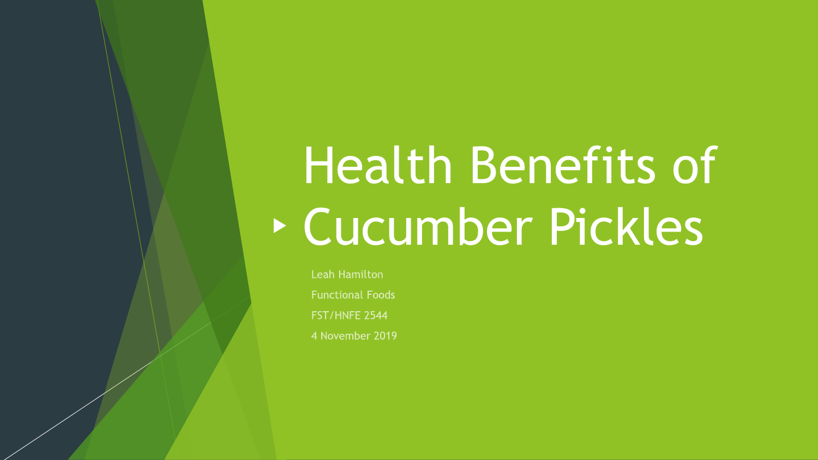# Health Benefits of Cucumber Pickles

**Leah Hamilton Functional Foods** FST/HNFE 2544 4 November 2019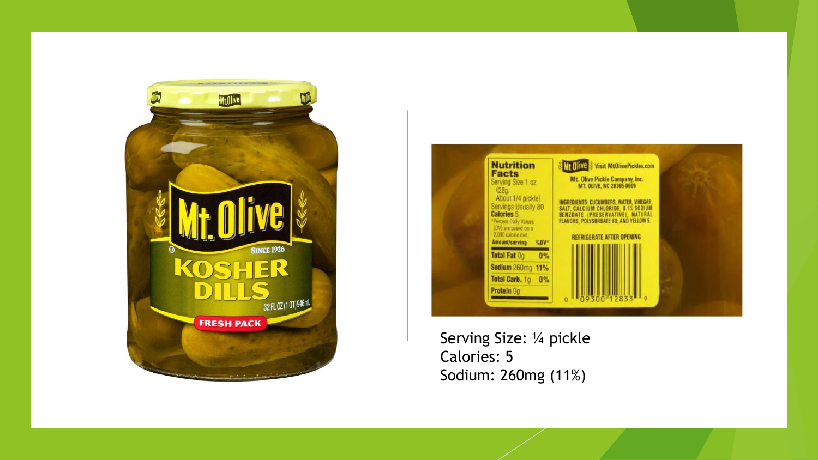



Serving Size: ¼ pickle Calories: 5 Sodium: 260mg (11%)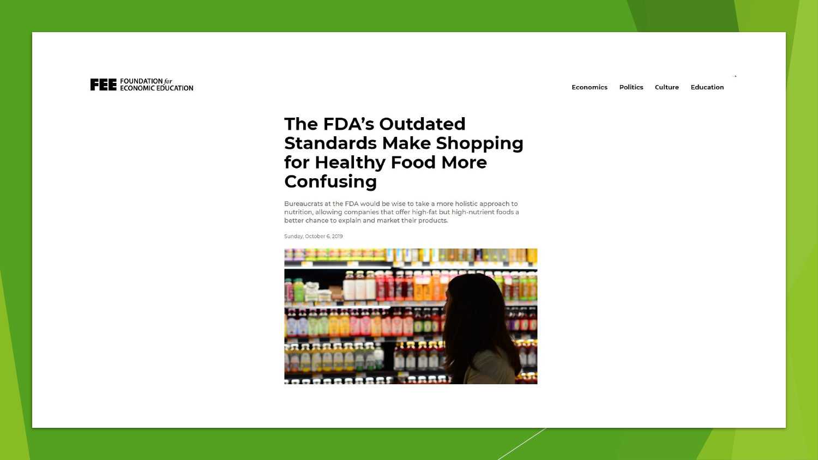

## The FDA's Outdated **Standards Make Shopping** for Healthy Food More Confusing

Bureaucrats at the FDA would be wise to take a more holistic approach to nutrition, allowing companies that offer high-fat but high-nutrient foods a better chance to explain and market their products.

Sunday, October 6, 2019

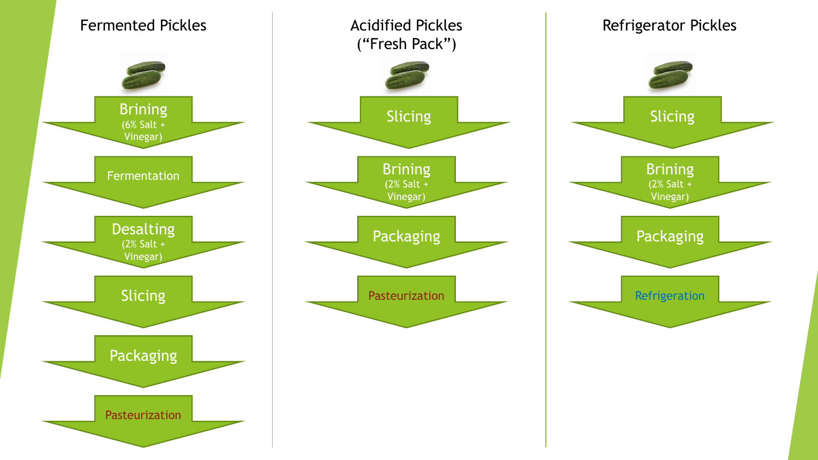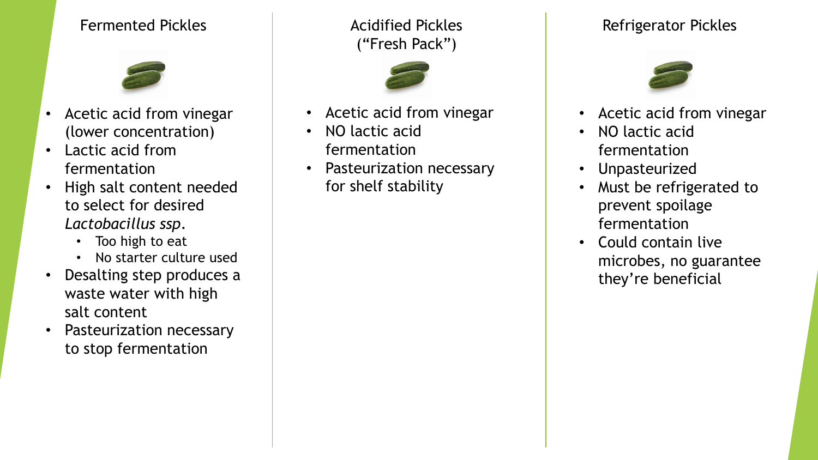## Fermented Pickles **Acidified Pickles**



- Acetic acid from vinegar (lower concentration)
- Lactic acid from fermentation
- High salt content needed to select for desired *Lactobacillus ssp*.
	- Too high to eat
	- No starter culture used
- Desalting step produces a waste water with high salt content
- Pasteurization necessary to stop fermentation

("Fresh Pack")



- Acetic acid from vinegar
- NO lactic acid fermentation
- Pasteurization necessary for shelf stability

## Refrigerator Pickles



- Acetic acid from vinegar
- NO lactic acid fermentation
- Unpasteurized
- Must be refrigerated to prevent spoilage fermentation
- Could contain live microbes, no guarantee they're beneficial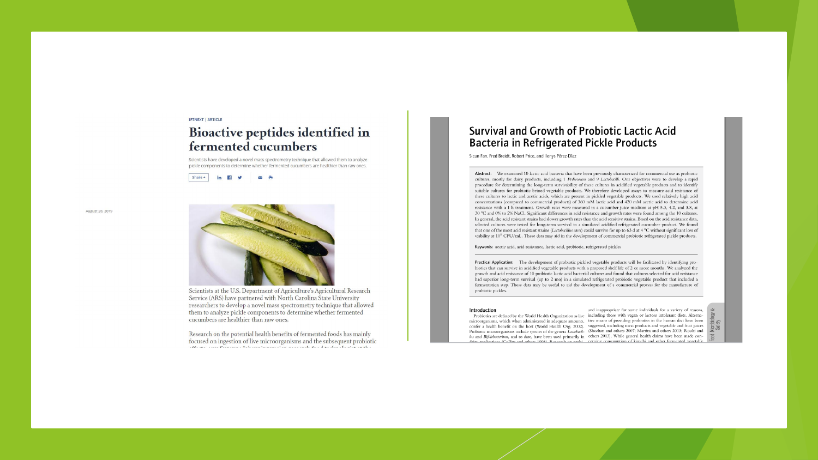#### **IFTNEXT | ARTICLE**

#### Bioactive peptides identified in fermented cucumbers

Scientists have developed a novel mass spectrometry technique that allowed them to analyze pickle components to determine whether fermented cucumbers are healthier than raw ones.



August 20, 2019



Scientists at the U.S. Department of Agriculture's Agricultural Research Service (ARS) have partnered with North Carolina State University researchers to develop a novel mass spectrometry technique that allowed them to analyze pickle components to determine whether fermented cucumbers are healthier than raw ones.

Research on the potential health benefits of fermented foods has mainly focused on ingestion of live microorganisms and the subsequent probiotic 

#### Survival and Growth of Probiotic Lactic Acid **Bacteria in Refrigerated Pickle Products**

Sicun Fan, Fred Breidt, Robert Price, and Ilenys Pérez-Díaz

Abstract: We examined 10 lactic acid bacteria that have been previously characterized for commercial use as probiotic cultures, mostly for dairy products, including 1 Pediococcus and 9 Lactobacilli. Our objectives were to develop a rapid procedure for determining the long-term survivability of these cultures in acidified vegetable products and to identify suitable cultures for probiotic brined vegetable products. We therefore developed assays to measure acid resistance of these cultures to lactic and acetic acids, which are present in pickled vegetable products. We used relatively high acid concentrations (compared to commercial products) of 360 mM lactic acid and 420 mM acetic acid to determine acid resistance with a 1 h treatment. Growth rates were measured in a cucumber juice medium at pH 5.3, 4.2, and 3.8, at 30 °C and 0% to 2% NaCl. Significant differences in acid resistance and growth rates were found among the 10 cultures. In general, the acid resistant strains had slower growth rates than the acid sensitive strains. Based on the acid resistance data, selected cultures were tested for long-term survival in a simulated acidified refrigerated cucumber product. We found that one of the most acid resistant strains (Lactobacillus casei) could survive for up to 63 d at 4 °C without significant loss of viability at 10<sup>8</sup> CFU/mL. These data may aid in the development of commercial probiotic refrigerated pickle products.

Keywords: acetic acid, acid resistance, lactic acid, probiotic, refrigerated pickles

Practical Application: The development of probiotic pickled vegetable products will be facilitated by identifying probiotics that can survive in acidified vegetable products with a proposed shelf life of 2 or more months. We analyzed the growth and acid resistance of 10 probiotic lactic acid bacterial cultures and found that cultures selected for acid resistance had superior long-term survival (up to 2 mo) in a simulated refrigerated probiotic vegetable product that included a fermentation step. These data may be useful to aid the development of a commercial process for the manufacture of probiotic pickles.

#### Introduction

Probiotics are defined by the World Health Organization as live including those with vegan or lactose intolerant diets. Alternamicroorganisms, which when administered in adequate amounts, tive means of providing probiotics in the human diet have been confer a health benefit on the host (World Health Org. 2002). suggested, including meat products and vegetable and fruit juices Probiotic microorganisms include species of the genera Latobacil- (Sheehan and others 2007; Martins and others 2013; Rouhi and lus and Bifidobacterium, and to date, have been used primarily in others 2013). While general health claims have been made condates applications (Collins and others 1998). Desearch on probi- cerning consumption of kimchi and other fermented vegetable

and inappropriate for some individuals for a variety of reasons,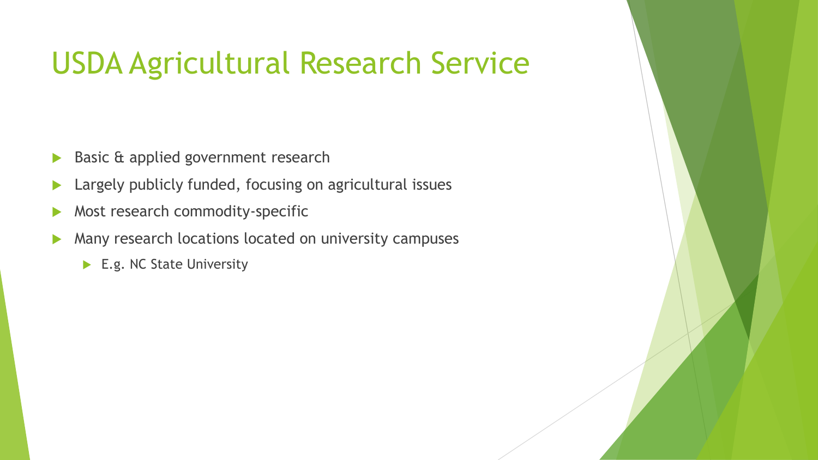# USDA Agricultural Research Service

- Basic & applied government research
- Largely publicly funded, focusing on agricultural issues
- Most research commodity-specific
- **Many research locations located on university campuses** 
	- E.g. NC State University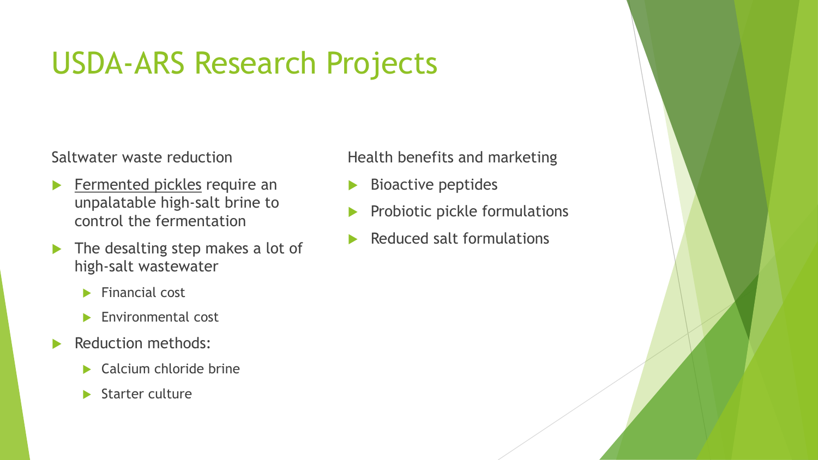# USDA-ARS Research Projects

Saltwater waste reduction

- Fermented pickles require an unpalatable high-salt brine to control the fermentation
- $\blacktriangleright$  The desalting step makes a lot of high-salt wastewater
	- $\blacktriangleright$  Financial cost
	- Environmental cost
- Reduction methods:
	- $\blacktriangleright$  Calcium chloride brine
	- $\blacktriangleright$  Starter culture

### Health benefits and marketing

- Bioactive peptides
- Probiotic pickle formulations
- Reduced salt formulations